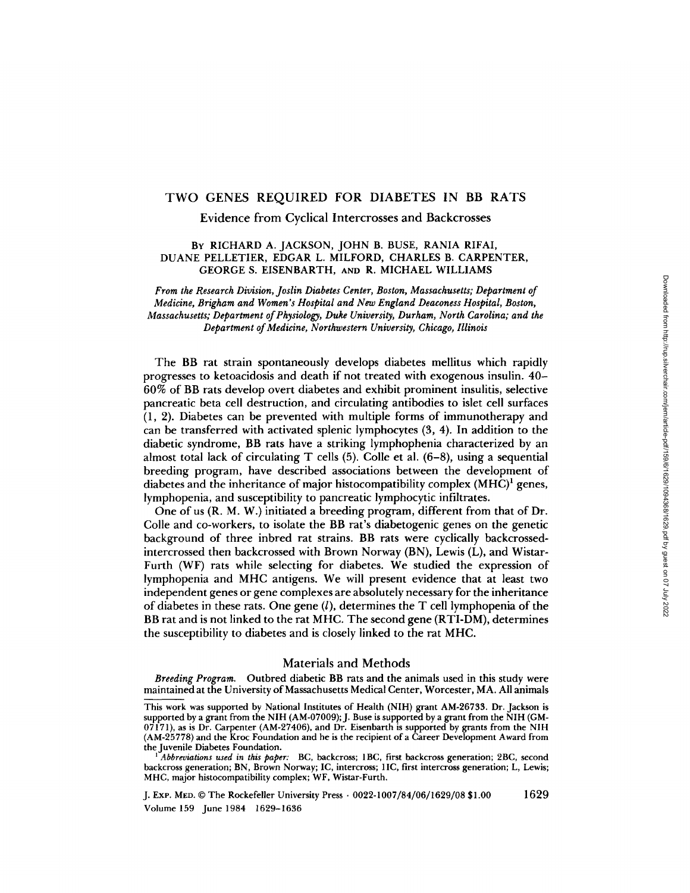# TWO GENES REQUIRED FOR DIABETES IN BB RATS

Evidence from Cyclical Intercrosses and Backcrosses *From the Research Division, Joslin Diabetes Center, Boston, Massachusetts; Department of* 

# BY RICHARD A. JACKSON, JOHN B. BUSE, RANIA RIFAI, *Massachusetts; Department of Physiology, Duke University, Durham, North Carolina; and the Department of Medicine, Northwestern University, Chicago, Illinois*

From the Research Division, Joslin Diabetes Center, Boston, Massachusetts; Department of Medicine, Brigham and Women's Hospital and New England Deaconess Hospital, Boston, Massachusetts; Department of Physiology, Duke University, Durham, North Carolina; and the Department of Medicine, Northwestern University, Chicago, Illinois

The BB rat strain spontaneously develops diabetes mellitus which rapidly The DD rat strain spontaneously develops diabetes inclines which rapidly progresses to retualities and death if not treated with exogenous fisuality for 60% of BB rats develop overt diabetes and exhibit prominent insulitis, selective pancreatic beta cell destruction, and circulating antibodies to islet cell surfaces  $\mu$  breeding program, have described as  $\mu$  as  $\mu$  as  $\mu$  as  $\mu$  as  $\mu$  as  $\mu$  $(1, 2)$ . Diabetes can be prevented with mattipic forms of minimizibility and can be transferred with activated splenic lymphocytes (3, 4). In addition to the diabetic syndrome, BB rats have a striking lymphophenia characterized by an almost total lack of circulating T cells (5). Colle et al.  $(6-8)$ , using a sequential  $\sum_{k=1}^{\infty}$  coile and  $\sum_{k=1}^{\infty}$  ratios  $\sum_{k=1}^{\infty}$  ratios  $\sum_{k=1}^{\infty}$  ratios of the generic generators of  $\sum_{k=1}^{\infty}$ biccumg program, have described associations. Between the development of diabetes and the inheritance of major histocompatibility complex (MHC)<sup>1</sup> genes, lymphopenia, and susceptibility to pancreatic lymphocytic infiltrates. furthermal, and susceptionly to panel and lymphocytic minerates.

 $\epsilon$  is the order  $\mu$ ,  $m$ ,  $m$ ,  $m$ ,  $m$  meated a ordering program, directent from that or  $D$ . Colle and co-workers, to isolate the BB rat's diabetogenic genes on the genetic background of three inbred rat strains. BB rats were cyclically background of diabetes in the diabetes in the T cell and T cell in the T cell lymphopenia of the T cell lymphopenia of the  $B_{\text{B}}$  rate and is not linear measurement of  $\frac{B_{\text{C}}}{M}$ . The second general general general general general general general general general general general general general general general general general general g Furth (WF) rats while selecting for diabetes. We studied the expression of lymphopenia and MHC antigens. We will present evidence that at least two independent genes or gene complexes are absolutely necessary for the inheritance<br>of diabetes in these rats. One gene  $(l)$ , determines the  $T$  cell lymphopenia of the BB rat and is not linked to the rat MHC. The second gene (RTI-DM), determines the susceptibility to diabetes and is closely linked to the rat MHC.

#### This work was supported by National Institutes of Health (NIH) grant AM-26733. Dr. Jackson is supported by a grant from the NIH (AM-07000);  $\frac{1}{2}$  and  $\frac{1}{2}$  grant from the NIH (GM-07000);  $\frac{1}{2}$ Materials and Methods

Breeding Program. Outbred diabetic BB rats and the animals used in this study were Breating I regram. Catoled *1 Abbreviations used in this paper:* BC, backcross; 1BC, first backcross generation; 2BC, second

This work was supported by National Institutes of Health (NIH) grant AM-26733. Dr. Jackson is supported by a grant from the NIH (AM-07009); J. Buse is supported by a grant from the NIH (GM-07171), as is Dr. Carpenter (AM-27406), and Dr. Eisenbarth is supported by grants from the NIH (AM-25778) and the Kroc Foundation and he is the recipient of a Career Development Award from

the Juvenile Diabetes Foundation.<br><sup>1</sup> Abbreviations used in this paper: BC, backcross; 1BC, first backcross generation; 2BC, second backcross generation; BN, Brown Norway; IC, intercross; 1IC, first intercross generation; L, Lewis; MHC, major histocompatibility complex; WF, Wistar-Furth.

<sup>1629</sup> J. Exp. MED. © The Rockefeller University Press · 0022-1007/84/06/1629/08 \$1.00 Volume 159 June 1984 1629-1636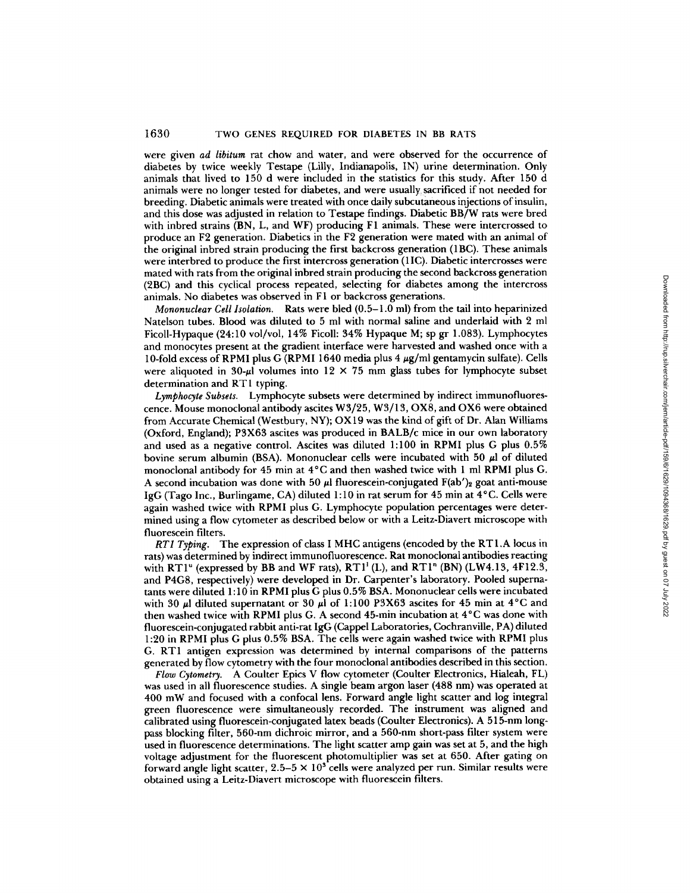were given *ad libitum* rat chow and water, and were observed for the occurrence of diabetes by twice weekly Testape (Lilly, Indianapolis, IN) urine determination. Only animals that lived to 150 d were included in the statistics for this study. After 150 d animals were no longer tested for diabetes, and were usually sacrificed if not needed for breeding. Diabetic animals were treated with once daily subcutaneous injections of insulin, and this dose was adjusted in relation to Testape findings. Diabetic BB/W rats were bred with inbred strains (BN, L, and WF) producing F1 animals. These were intercrossed to produce an F2 generation. Diabetics in the F2 generation were mated with an animal of the original inbred strain producing the first backcross generation (1BC). These animals were interbred to produce the first intercross generation (11C). Diabetic intercrosses were mated with rats from the original inbred strain producing the second backcross generation (2BC) and this cyclical process repeated, selecting for diabetes among the intercross animals. No diabetes was observed in F1 or backcross generations.

*Mononuclear Cell Isolation.* Rats were bled (0.5-1.0 mi) from the tail into heparinized Natelson tubes. Blood was diluted to 5 mi with normal saline and underlaid with 2 ml Ficoll-Hypaque (24:10 vol/vol, 14% Ficoll: 34% Hypaque M; sp gr 1.083). Lymphocytes and monocytes present at the gradient interface were harvested and washed once with a 10-fold excess of RPMI plus G (RPMI 1640 media plus 4  $\mu$ g/ml gentamycin sulfate). Cells were aliquoted in 30- $\mu$ l volumes into 12 × 75 mm glass tubes for lymphocyte subset determination and RT1 typing.

*Lymphocyte Subsets.* Lymphocyte subsets were determined by indirect immunofluorescence. Mouse monocional antibody ascites W3/25, W3/13, OXS, and OX6 were obtained from Accurate Chemical (Westbury, NY); OX 19 was the kind of gift of Dr. Alan Williams (Oxford, England); P3X63 ascites was produced in BALB/c mice in our own laboratory and used as a negative control. Ascites was diluted 1:100 in RPMI plus G plus 0.5% bovine serum albumin (BSA). Mononuclear cells were incubated with 50  $\mu$ l of diluted monoclonal antibody for 45 min at 4°C and then washed twice with 1 ml RPMI plus G. A second incubation was done with 50  $\mu$  fluorescein-conjugated F(ab')<sub>2</sub> goat anti-mouse IgG (Tago Inc., Burlingame, CA) diluted 1:10 in rat serum for 45 min at 4°C. Cells were again washed twice with RPMI plus G. Lymphocyte population percentages were determined using a flow cytometer as described below or with a Leitz-Diavert microscope with fluorescein filters.

*RT1 Typing.* The expression of class I MHC antigens (encoded by the RT1.A locus in rats) was determined by indirect immunofluorescence. Rat monocional antibodies reacting with RT1<sup>"</sup> (expressed by BB and WF rats),  $RT1'$  (L), and RT1<sup>n</sup> (BN) (LW4.13, 4F12.3, and P4G8, respectively) were developed in Dr. Carpenter's laboratory. Pooled supernatants were diluted 1:10 in RPMI plus G plus 0.5% BSA. Mononuclear cells were incubated with 30  $\mu$ l diluted supernatant or 30  $\mu$ l of 1:100 P3X63 ascites for 45 min at 4°C and then washed twice with RPMI plus **G. A** second 45-min incubation at 4°C was done with fluorescein-conjugated rabbit anti-rat IgG (Cappel Laboratories, Cochranville, PA) diluted **1:20** in RPMI plus G plus 0.5% BSA. The cells were again washed twice with RPMI plus G. RT1 antigen expression was determined by internal comparisons of the patterns generated by flow cytometry with the four monocional antibodies described in this section.

*Flow Cytometry.* A Coulter Epics V flow cytometer (Coulter Electronics, Hialeah, FL) was used in all fluorescence studies. A single beam argon laser (488 nm) was operated at 400 mW and focused with a confocal lens. Forward angle light scatter and log integral green fluorescence were simultaneously recorded. The instrument was aligned and calibrated using fluorescein-conjugated latex beads (Coulter Electronics). A 515-nm longpass blocking filter, 560-nm dichroic mirror, and a 560-nm short-pass filter system were used in fluorescence determinations. The light scatter amp gain was set at 5, and the high voltage adjustment for the fluorescent photomultiplier was set at 650. After gating on forward angle light scatter,  $2.5-5 \times 10^3$  cells were analyzed per run. Similar results were obtained using a Leitz-Diavert microscope with fluorescein filters.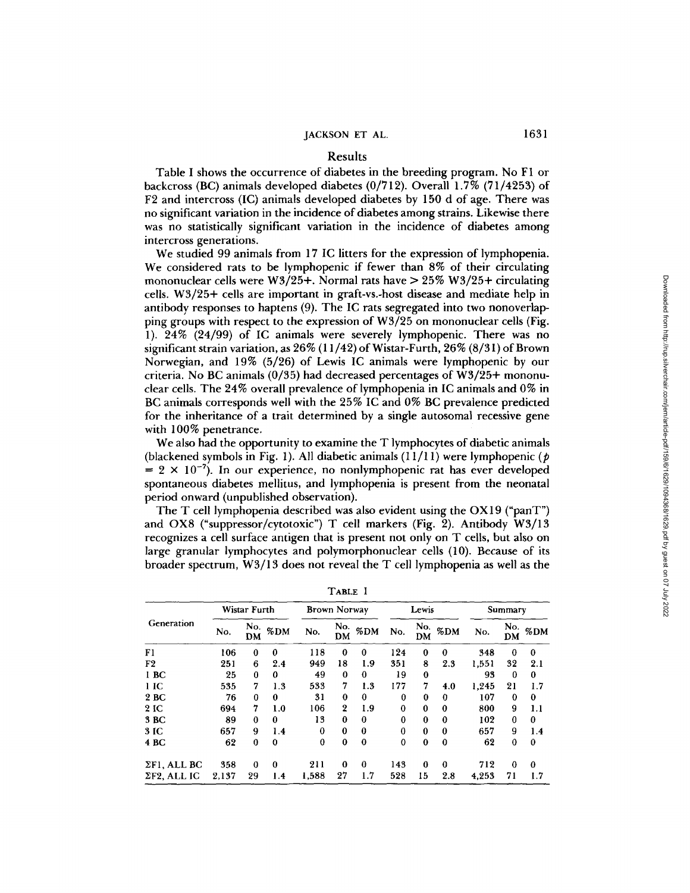## Results

Table I shows the occurrence of diabetes in the breeding program. No F1 or backcross (BC) animals developed diabetes (0/712). Overall 1.7% (71/4253) of F2 and intercross (IC) animals developed diabetes by 150 d of age. There was no significant variation in the incidence of diabetes among strains. Likewise there was no statistically significant variation in the incidence of diabetes among intercross generations.

We studied 99 animals from 17 IC litters for the expression of lymphopenia. We considered rats to be lymphopenic if fewer than 8% of their circulating mononuclear cells were  $W3/25+$ . Normal rats have  $> 25\% W3/25+$  circulating cells. W3/25+ cells are important in graft-vs.-host disease and mediate help in antibody responses to haptens (9). The IC rats segregated into two nonoverlapping groups with respect to the expression of W3/25 on mononuclear cells (Fig. 1). 24% (24/99) of IC animals were severely lymphopenic. There was no significant strain variation, as  $26\%$  (11/42) of Wistar-Furth, 26% (8/31) of Brown Norwegian, and 19% (5/26) of Lewis IC animals were lymphopenic by our criteria. No BC animals (0/35) had decreased percentages of W3/25+ mononuclear cells. The 24% overall prevalence of lymphopenia in IC animals and 0% in BC animals corresponds well with the 25% IC and 0% BC prevalence predicted for the inheritance of a trait determined by a single autosomal recessive gene with 100% penetrance.

We also had the opportunity to examine the T lymphocytes of diabetic animals (blackened symbols in Fig. 1). All diabetic animals  $(11/11)$  were lymphopenic (p  $= 2 \times 10^{-7}$ ). In our experience, no nonlymphopenic rat has ever developed spontaneous diabetes mellitus, and lymphopenia is present from the neonatal period onward (unpublished observation).

The T cell lymphopenia described was also evident using the OX 19 ("panT") and OX8 ("suppressor/cytotoxic") T cell markers (Fig. 2). Antibody W3/13 recognizes a cell surface antigen that is present not only on T cells, but also on large granular lymphocytes and polymorphonuclear cells (10). Because of its broader spectrum, W3/13 does not reveal the T cell lymphopenia as well as the

| Generation          | Wistar Furth |           |          | <b>Brown Norway</b> |                  |          | Lewis    |          |                     | Summary |          |                         |
|---------------------|--------------|-----------|----------|---------------------|------------------|----------|----------|----------|---------------------|---------|----------|-------------------------|
|                     | No.          | No.<br>DM | $\%$ DM  | No.                 | No.<br>DM        | %DM      | No.      | DM       | $\frac{No.}{.}$ %DM | No.     | DM       | $\frac{No.}{\cdot}$ %DM |
| F1                  | 106          | $\bf{0}$  | $\bf{0}$ | 118                 | $\theta$         | $\bf{0}$ | 124      | $\bf{0}$ | $\bf{0}$            | 348     | $\bf{0}$ | $\bf{0}$                |
| F <sub>2</sub>      | 251          | 6         | 2.4      | 949                 | 18               | 1.9      | 351      | 8        | 2.3                 | 1,551   | 32       | 2.1                     |
| 1 BC                | 25           | $\bf{0}$  | 0        | 49                  | 0                | 0        | 19       | $\bf{0}$ |                     | 93      | $\bf{0}$ | $\bf{0}$                |
| 1 <sub>IC</sub>     | 535          | 7         | 1.3      | 533                 | 7                | 1.3      | 177      | 7        | 4.0                 | 1,245   | 21       | 1.7                     |
| 2 BC                | 76           | $\bf{0}$  | $\bf{0}$ | 31                  | $\bf{0}$         | $\bf{0}$ | 0        | $\bf{0}$ | $\bf{0}$            | 107     | $\bf{0}$ | $\bf{0}$                |
| 2 IC                | 694          | 7         | 1.0      | 106                 | $\boldsymbol{2}$ | 1.9      | $\bf{0}$ | 0        | $\bf{0}$            | 800     | 9        | 1.1                     |
| 3 BC                | 89           | $\bf{0}$  | $\bf{0}$ | 13                  | $\bf{0}$         | $\bf{0}$ | 0        | $\bf{0}$ | 0                   | 102     | 0        | 0                       |
| 3 IC                | 657          | 9         | 1.4      | $\bf{0}$            | $\bf{0}$         | $\bf{0}$ | 0        | 0        | $\bf{0}$            | 657     | 9        | 1.4                     |
| 4 BC                | 62           | $\bf{0}$  | $\bf{0}$ | $\bf{0}$            | $\bf{0}$         | $\bf{0}$ | 0        | $\bf{0}$ | 0                   | 62      | $\bf{0}$ | $\bf{0}$                |
| $\Sigma$ F1, ALL BC | 358          | $\bf{0}$  | $\bf{0}$ | 211                 | $\mathbf 0$      | $\bf{0}$ | 143      | 0        | 0                   | 712     | $\bf{0}$ | $\bf{0}$                |
| $\Sigma$ F2, ALL IC | 2.137        | 29        | 1.4      | 1,588               | 27               | 1.7      | 528      | 15       | 2.8                 | 4.253   | 71       | 1.7                     |

| ı |  |
|---|--|
|---|--|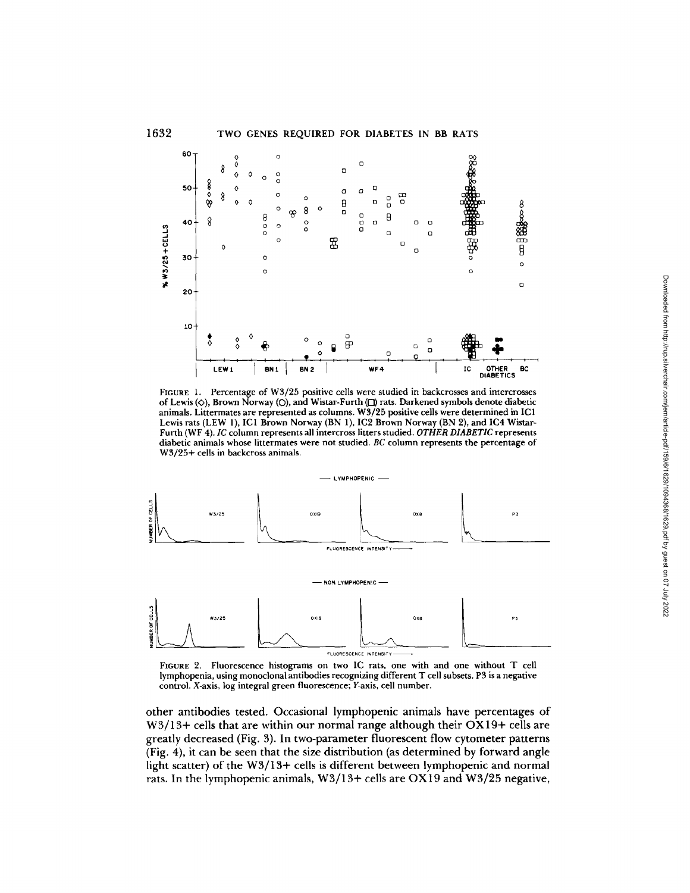

FIGURE 1. Percentage of W3/25 positive cells were studied in backcrosses and intercrosses of Lewis  $(\diamond)$ , Brown Norway  $(\circ)$ , and Wistar-Furth  $(\circ)$  rats. Darkened symbols denote diabetic animals. Littermates are represented as columns. W3/25 positive cells were determined in IC 1 Lewis rats (LEW 1), ICI Brown Norway (BN 1), IC2 Brown Norway (BN 2), and IC4 Wistar-Furth (WF 4). *IC* column represents all intercross litters studied. *OTHER DIABETIC* represents diabetic animals whose littermates were not studied. *BC* column represents the percentage of W3/25+ cells in backcross animals.



FIGURE 2. Fluorescence histograms on two IC rats, one with and one without T cell lymphopenia, using monoclonal antibodies recognizing different T cell subsets. P3 is a negative control. X-axis, log integral green fluorescence; Y-axis, cell number.

other antibodies tested. Occasional lymphopenic animals have percentages of W3/13+ cells that are within our normal range although their OX19+ cells are greatly decreased (Fig. 3). In two-parameter fluorescent flow cytometer patterns (Fig. 4), it can be seen that the size distribution (as determined by forward angle light scatter) of the W3/13+ cells is different between lymphopenic and normal rats. In the lymphopenic animals, W3/13+ cells are OX 19 and W3/25 negative,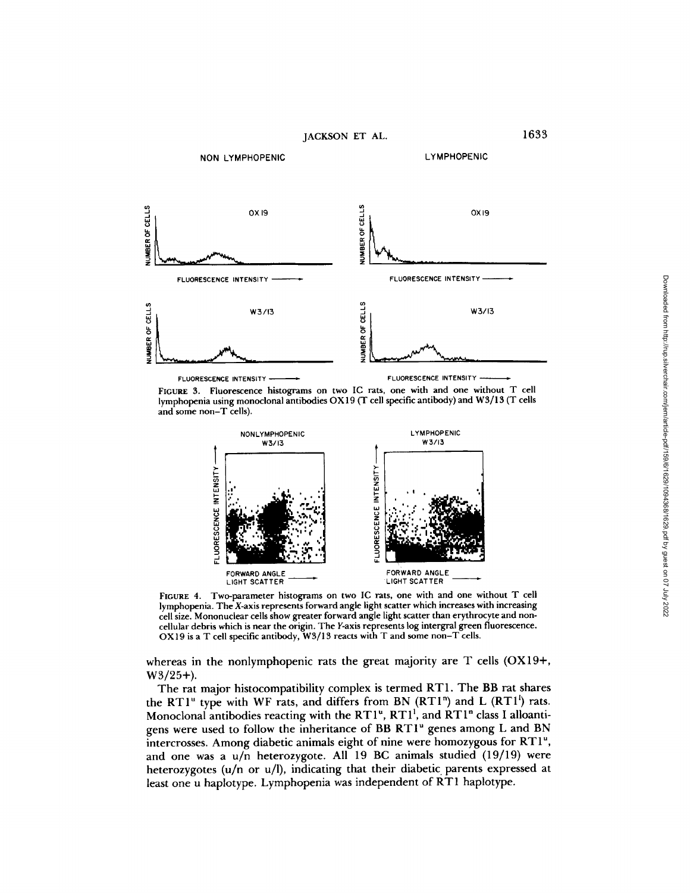

FIGURE 3. Fluorescence histograms on two IC rats, one with and one without T cell **lymphopenia** using monoclonal antibodies OX 19 (T cell specific antibody) and W3/13 (T cells **and** some non-T cells).



FIGURE **4. Two-parameter** histograms on two IC rats, one with and one without T cell lymphopenia. The X-axis represents forward angle light scatter which increases with increasing cell size. Mononuclear cells show greater forward angle light scatter than **erythrocyte and** noncellular debris which is near the origin. The Y-axis represents log intergral green fluorescence. OX 19 is a T cell specific antibody, W3/13 reacts with T and some non-T cells.

**whereas in the nonlymphopenic rats the great majority are T cells (OX19+, W3/25+).** 

**The rat major histocompatibility complex is termed RT 1. The BB rat shares**  the RT1<sup>u</sup> type with WF rats, and differs from BN (RT1<sup>n</sup>) and L (RT1<sup>1</sup>) rats. Monoclonal antibodies reacting with the RT1<sup>u</sup>, RT1<sup>1</sup>, and RT1<sup>n</sup> class I alloanti**gens were used to follow the inheritance of BB RTI" genes among L and BN intercrosses. Among diabetic animals eight of nine were homozygous for RT 1% and one was a u/n heterozygote. All 19 BC animals studied (19/19) were heterozygotes (u/n or u/l), indicating that their diabetic parents expressed at least one u haplotype. Lymphopenia was independent of RT1 haplotype.**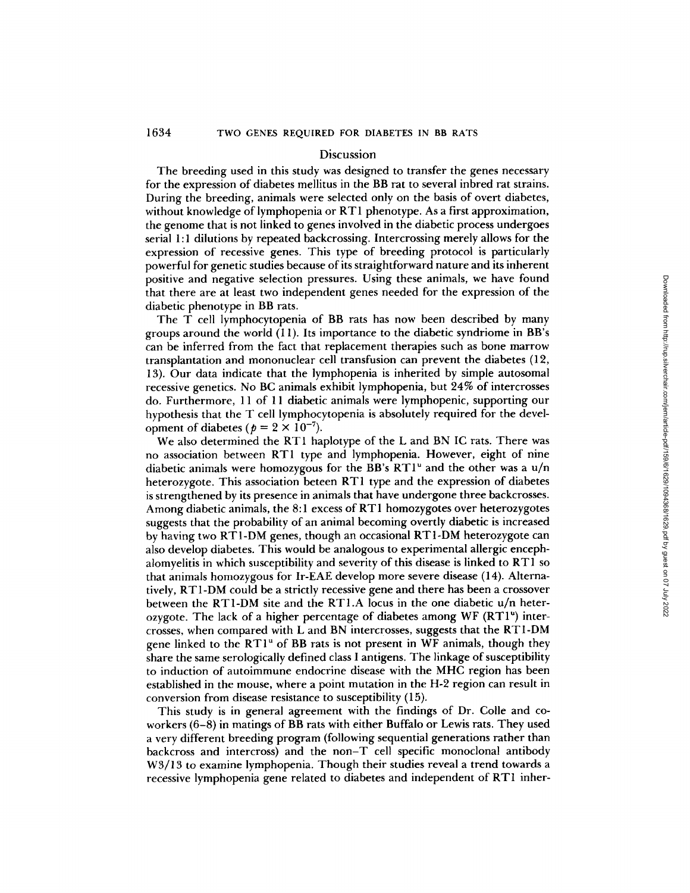#### Discussion

The breeding used in this study was designed to transfer the genes necessary for the expression of diabetes mellitus in the BB rat to several inbred rat strains. During the breeding, animals were selected only on the basis of overt diabetes, without knowledge of lymphopenia or RT 1 phenotype. As a first approximation, the genome that is not linked to genes involved in the diabetic process undergoes serial 1:1 dilutions by repeated backcrossing. Intercrossing merely allows for the expression of recessive genes. This type of breeding protocol is particularly powerful for genetic studies because of its straightforward nature and its inherent positive and negative selection pressures. Using these animals, we have found that there are at least two independent genes needed for the expression of the diabetic phenotype in BB rats.

The T cell lymphocytopenia of BB rats has now been described by many groups around the world (11). Its importance to the diabetic syndriome in BB's can be inferred from the fact that replacement therapies such as bone marrow transplantation and mononuclear cell transfusion can prevent the diabetes (12, 13). Our data indicate that the iymphopenia is inherited by simple autosomal recessive genetics. No BC animals exhibit lymphopenia, but 24% of intercrosses do. Furthermore, 11 of 11 diabetic animals were lymphopenic, supporting our hypothesis that the T cell lymphocytopenia is absolutely required for the development of diabetes ( $p = 2 \times 10^{-7}$ ).

We also determined the RT1 haplotype of the L and BN IC rats. There was no association between RT1 type and lymphopenia. However, eight of nine diabetic animals were homozygous for the BB's  $RT1^{\nu}$  and the other was a  $u/n$ heterozygote. This association beteen RT1 type and the expression of diabetes is strengthened by its presence in animals that have undergone three backcrosses. Among diabetic animals, the 8:1 excess of RT1 homozygotes over heterozygotes suggests that the probability of an animal becoming overtly diabetic is increased by having two RT 1-DM genes, though an occasional RT 1-DM heterozygote can also develop diabetes. This would be analogous to experimental allergic encephalomyelitis in which susceptibility and severity of this disease is linked to RT1 so that animals homozygous for Ir-EAE develop more severe disease (14). Alternatively, RT1-DM could be a strictly recessive gene and there has been a crossover between the RT1-DM site and the RT1.A locus in the one diabetic u/n heterozygote. The lack of a higher percentage of diabetes among  $WF(RTI^{u})$  intercrosses, when compared with L and BN intercrosses, suggests that the RT1-DM gene linked to the  $RT1^u$  of BB rats is not present in WF animals, though they share the same serologically defined class I antigens. The linkage of susceptibility to induction of autoimmune endocrine disease with the MHC region has been established in the mouse, where a point mutation in the H-2 region can result in conversion from disease resistance to susceptibility (15).

This study is in general agreement with the findings of Dr. Colle and coworkers (6-8) in matings of BB rats with either Buffalo or Lewis rats. They used a very different breeding program (following sequential generations rather than backcross and intercross) and the non-T cell specific monoclonal antibody W3/13 to examine lymphopenia. Though their studies reveal a trend towards a recessive lymphopenia gene related to diabetes and independent of RT1 inher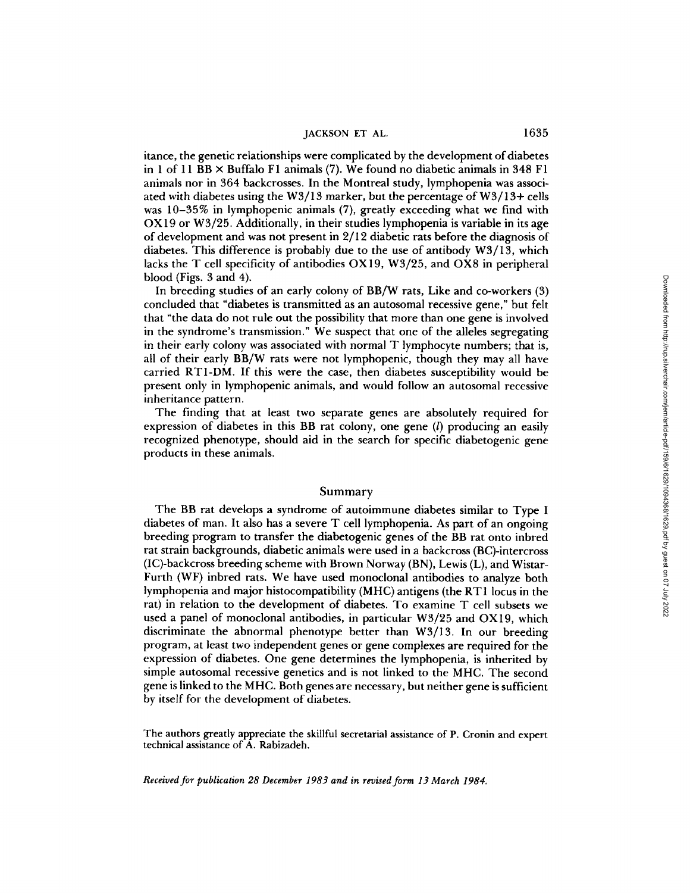itance, the genetic relationships were complicated by the development of diabetes in 1 of 11 BB  $\times$  Buffalo F1 animals (7). We found no diabetic animals in 348 F1 animals nor in 364 backcrosses. In the Montreal study, lymphopenia was associated with diabetes using the W3/13 marker, but the percentage of W3/13+ cells was 10-35% in lymphopenic animals (7), greatly exceeding what we find with OX 19 or W3/25. Additionally, in their studies lymphopenia is variable in its age of development and was not present in 2/12 diabetic rats before the diagnosis of diabetes. This difference is probably due to the use of antibody W3/13, which lacks the T cell specificity of antibodies OX 19, W3/25, and OX8 in peripheral blood (Figs. 3 and 4).

In breeding studies of an early colony of BB/W rats, Like and co-workers (3) concluded that "diabetes is transmitted as an autosomal recessive gene," but felt that "the data do not rule out the possibility that more than one gene is involved in the syndrome's transmission." We suspect that one of the alleles segregating in their early colony was associated with normal T lymphocyte numbers; that is, all of their early BB/W rats were not iymphopenic, though they may all have carried RT1-DM. If this were the case, then diabetes susceptibility would be present only in lymphopenic animals, and would follow an autosomal recessive inheritance pattern.

The finding that at least two separate genes are absolutely required for expression of diabetes in this BB rat colony, one gene (l) producing an easily recognized phenotype, should aid in the search for specific diabetogenic gene products in these animals.

### Summary

The BB rat develops a syndrome of autoimmune diabetes similar to Type I diabetes of man. It also has a severe T cell lymphopenia. As part of an ongoing breeding program to transfer the diabetogenic genes of the BB rat onto inbred rat strain backgrounds, diabetic animals were used in a backcross (BC)-intercross (IC)-backcross breeding scheme with Brown Norway (BN), Lewis (L), and Wistar-Furth (WF) inbred rats. We have used monoclonal antibodies to analyze both lymphopenia and major histocompatibility (MHC) antigens (the RT 1 locus in the rat) in relation to the development of diabetes. To examine T cell subsets we used a panel of monoclonal antibodies, in particular W3/25 and OX19, which discriminate the abnormal phenotype better than W3/13. In our breeding program, at least two independent genes or gene complexes are required for the expression of diabetes. One gene determines the lymphopenia, is inherited by simple autosomal recessive genetics and is not linked to the MHC. The second gene is linked to the MHC. Both genes are necessary, but neither gene is sufficient by itself for the development of diabetes.

The authors greatly appreciate the skillful secretarial assistance of P. Cronin and expert technical assistance of A. Rabizadeh.

*Received for publication 28 December 1983 and in revised form 13 March 1984.*